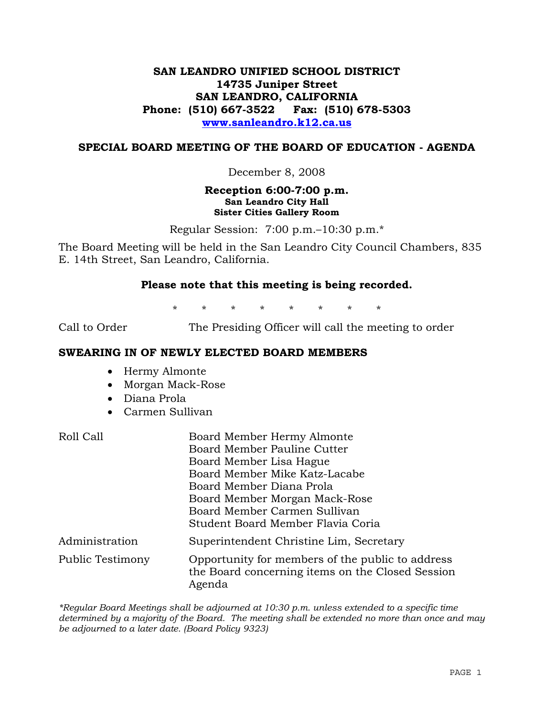# **SAN LEANDRO UNIFIED SCHOOL DISTRICT 14735 Juniper Street SAN LEANDRO, CALIFORNIA Phone: (510) 667-3522 Fax: (510) 678-5303 www.sanleandro.k12.ca.us**

### **SPECIAL BOARD MEETING OF THE BOARD OF EDUCATION - AGENDA**

December 8, 2008

#### **Reception 6:00-7:00 p.m. San Leandro City Hall Sister Cities Gallery Room**

Regular Session: 7:00 p.m.–10:30 p.m.\*

The Board Meeting will be held in the San Leandro City Council Chambers, 835 E. 14th Street, San Leandro, California.

### **Please note that this meeting is being recorded.**

\* \* \* \* \* \* \* \*

Call to Order The Presiding Officer will call the meeting to order

### **SWEARING IN OF NEWLY ELECTED BOARD MEMBERS**

- Hermy Almonte
- Morgan Mack-Rose
- Diana Prola
- Carmen Sullivan

#### Roll Call Board Member Hermy Almonte

 Board Member Pauline Cutter Board Member Lisa Hague Board Member Mike Katz-Lacabe Board Member Diana Prola Board Member Morgan Mack-Rose Board Member Carmen Sullivan Student Board Member Flavia Coria Administration Superintendent Christine Lim, Secretary Public Testimony Opportunity for members of the public to address the Board concerning items on the Closed Session Agenda

*\*Regular Board Meetings shall be adjourned at 10:30 p.m. unless extended to a specific time determined by a majority of the Board. The meeting shall be extended no more than once and may be adjourned to a later date. (Board Policy 9323)*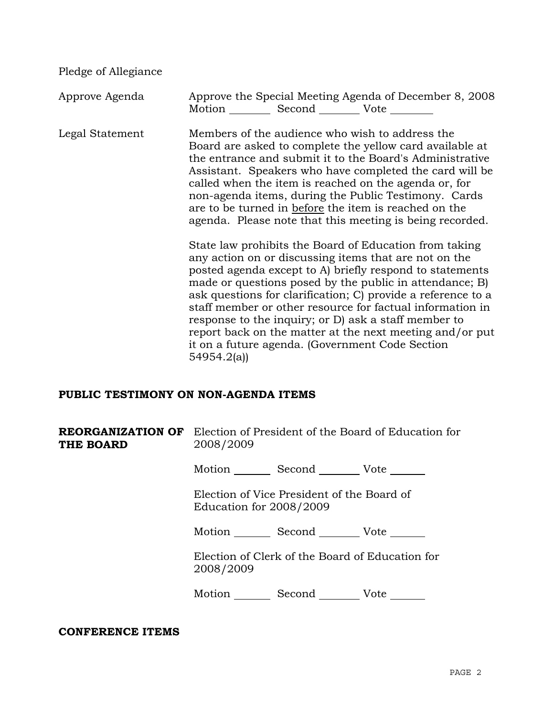Pledge of Allegiance

Approve Agenda Approve the Special Meeting Agenda of December 8, 2008 Motion Second Vote Legal Statement Members of the audience who wish to address the Board are asked to complete the yellow card available at the entrance and submit it to the Board's Administrative Assistant. Speakers who have completed the card will be called when the item is reached on the agenda or, for non-agenda items, during the Public Testimony. Cards are to be turned in before the item is reached on the agenda. Please note that this meeting is being recorded. State law prohibits the Board of Education from taking any action on or discussing items that are not on the posted agenda except to A) briefly respond to statements made or questions posed by the public in attendance; B) ask questions for clarification; C) provide a reference to a staff member or other resource for factual information in response to the inquiry; or D) ask a staff member to report back on the matter at the next meeting and/or put it on a future agenda. (Government Code Section 54954.2(a)) **PUBLIC TESTIMONY ON NON-AGENDA ITEMS**

**REORGANIZATION OF**  Election of President of the Board of Education for **THE BOARD** 2008/2009

Motion Second Vote

 Election of Vice President of the Board of Education for 2008/2009

Motion Second Vote

 Election of Clerk of the Board of Education for 2008/2009

Motion Second Vote

**CONFERENCE ITEMS**